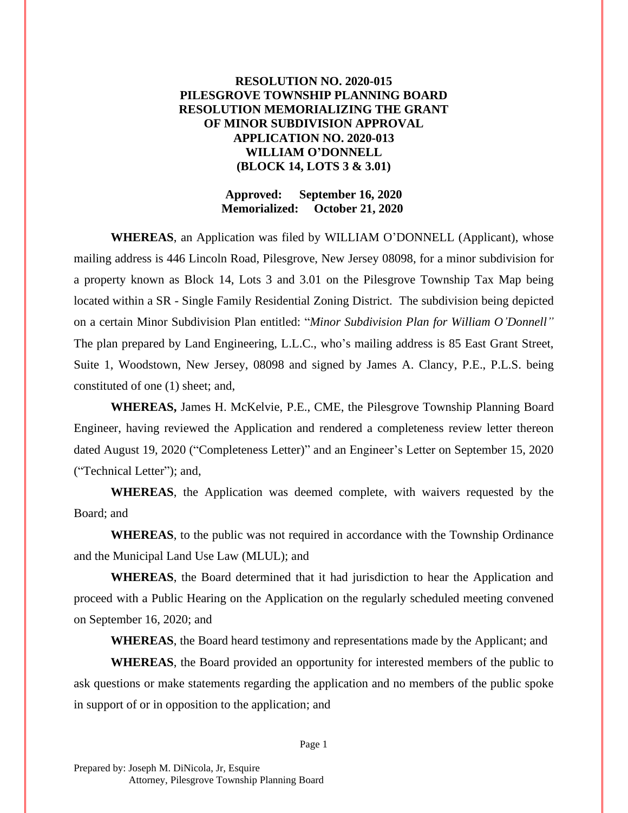## **RESOLUTION NO. 2020-015 PILESGROVE TOWNSHIP PLANNING BOARD RESOLUTION MEMORIALIZING THE GRANT OF MINOR SUBDIVISION APPROVAL APPLICATION NO. 2020-013 WILLIAM O'DONNELL (BLOCK 14, LOTS 3 & 3.01)**

## **Approved: September 16, 2020 Memorialized: October 21, 2020**

**WHEREAS**, an Application was filed by WILLIAM O'DONNELL (Applicant), whose mailing address is 446 Lincoln Road, Pilesgrove, New Jersey 08098, for a minor subdivision for a property known as Block 14, Lots 3 and 3.01 on the Pilesgrove Township Tax Map being located within a SR - Single Family Residential Zoning District. The subdivision being depicted on a certain Minor Subdivision Plan entitled: "*Minor Subdivision Plan for William O'Donnell"* The plan prepared by Land Engineering, L.L.C., who's mailing address is 85 East Grant Street, Suite 1, Woodstown, New Jersey, 08098 and signed by James A. Clancy, P.E., P.L.S. being constituted of one (1) sheet; and,

**WHEREAS,** James H. McKelvie, P.E., CME, the Pilesgrove Township Planning Board Engineer, having reviewed the Application and rendered a completeness review letter thereon dated August 19, 2020 ("Completeness Letter)" and an Engineer's Letter on September 15, 2020 ("Technical Letter"); and,

**WHEREAS**, the Application was deemed complete, with waivers requested by the Board; and

**WHEREAS**, to the public was not required in accordance with the Township Ordinance and the Municipal Land Use Law (MLUL); and

**WHEREAS**, the Board determined that it had jurisdiction to hear the Application and proceed with a Public Hearing on the Application on the regularly scheduled meeting convened on September 16, 2020; and

**WHEREAS**, the Board heard testimony and representations made by the Applicant; and

**WHEREAS**, the Board provided an opportunity for interested members of the public to ask questions or make statements regarding the application and no members of the public spoke in support of or in opposition to the application; and

Page 1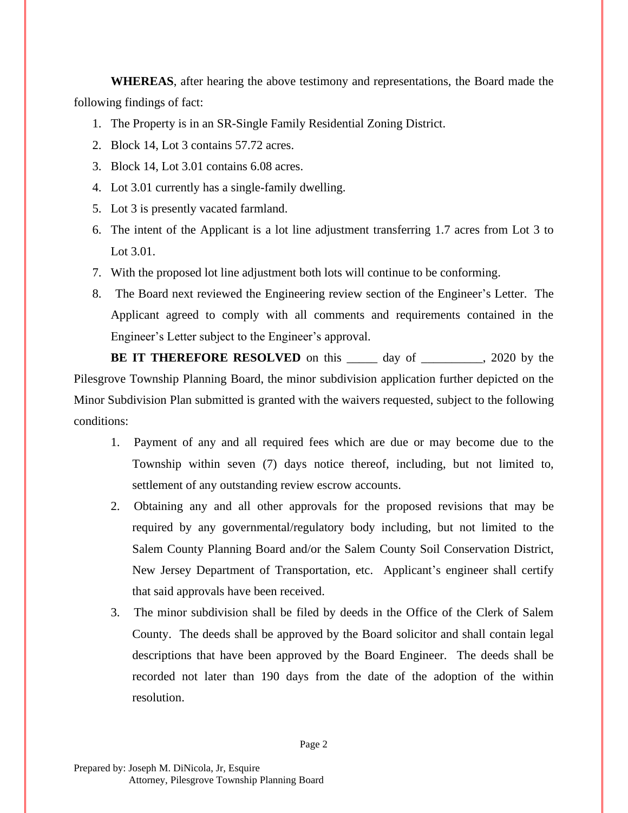**WHEREAS**, after hearing the above testimony and representations, the Board made the following findings of fact:

- 1. The Property is in an SR-Single Family Residential Zoning District.
- 2. Block 14, Lot 3 contains 57.72 acres.
- 3. Block 14, Lot 3.01 contains 6.08 acres.
- 4. Lot 3.01 currently has a single-family dwelling.
- 5. Lot 3 is presently vacated farmland.
- 6. The intent of the Applicant is a lot line adjustment transferring 1.7 acres from Lot 3 to Lot 3.01.
- 7. With the proposed lot line adjustment both lots will continue to be conforming.
- 8. The Board next reviewed the Engineering review section of the Engineer's Letter. The Applicant agreed to comply with all comments and requirements contained in the Engineer's Letter subject to the Engineer's approval.

**BE IT THEREFORE RESOLVED** on this day of 3020 by the Pilesgrove Township Planning Board, the minor subdivision application further depicted on the Minor Subdivision Plan submitted is granted with the waivers requested, subject to the following conditions:

- 1. Payment of any and all required fees which are due or may become due to the Township within seven (7) days notice thereof, including, but not limited to, settlement of any outstanding review escrow accounts.
- 2. Obtaining any and all other approvals for the proposed revisions that may be required by any governmental/regulatory body including, but not limited to the Salem County Planning Board and/or the Salem County Soil Conservation District, New Jersey Department of Transportation, etc. Applicant's engineer shall certify that said approvals have been received.
- 3. The minor subdivision shall be filed by deeds in the Office of the Clerk of Salem County. The deeds shall be approved by the Board solicitor and shall contain legal descriptions that have been approved by the Board Engineer. The deeds shall be recorded not later than 190 days from the date of the adoption of the within resolution.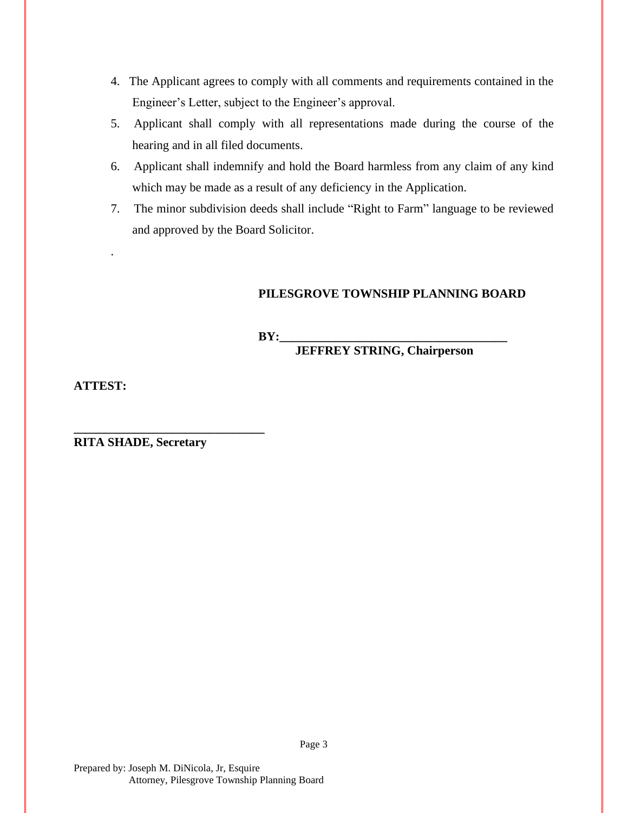- 4. The Applicant agrees to comply with all comments and requirements contained in the Engineer's Letter, subject to the Engineer's approval.
- 5. Applicant shall comply with all representations made during the course of the hearing and in all filed documents.
- 6. Applicant shall indemnify and hold the Board harmless from any claim of any kind which may be made as a result of any deficiency in the Application.
- 7. The minor subdivision deeds shall include "Right to Farm" language to be reviewed and approved by the Board Solicitor.

## **PILESGROVE TOWNSHIP PLANNING BOARD**

 $BY:$ 

**JEFFREY STRING, Chairperson**

**ATTEST:**

.

**RITA SHADE, Secretary**

**\_\_\_\_\_\_\_\_\_\_\_\_\_\_\_\_\_\_\_\_\_\_\_\_\_\_\_\_\_\_\_**